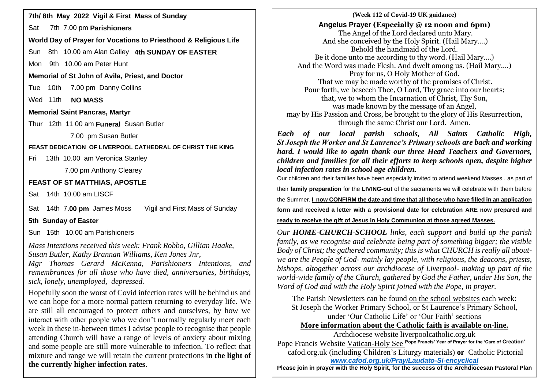Sat 7th 7.00 pm **Parishioners**

**World Day of Prayer for Vocations to Priesthood & Religious Life**

Sun 8th 10.00 am Alan Galley **4th SUNDAY OF EASTER**

Mon 9th 10.00 am Peter Hunt

**Memorial of St John of Avila, Priest, and Doctor**

Tue 10th 7.00 pm Danny Collins

Wed 11th **NO MASS** 

# **Memorial Saint Pancras, Martyr**

Thur 12th 11 00 am **Funeral** Susan Butler

7.00 pm Susan Butler

**FEAST DEDICATION OF LIVERPOOL CATHEDRAL OF CHRIST THE KING**

Fri 13th 10.00 am Veronica Stanley

7.00 pm Anthony Clearey

# **FEAST OF ST MATTHIAS, APOSTLE**

Sat 14th 10.00 am LISCF

Sat 14th 7**.00 pm** James Moss Vigil and First Mass of Sunday

**5th Sunday of Easter**

Sun 15th 10.00 am Parishioners

*Mass Intentions received this week: Frank Robbo, Gillian Haake, Susan Butler, Kathy Brannan Williams, Ken Jones Jnr,* 

*Mgr Thomas Gerard McKenna, Parishioners Intentions, and remembrances for all those who have died, anniversaries, birthdays, sick, lonely, unemployed, depressed.*

Hopefully soon the worst of Covid infection rates will be behind us and we can hope for a more normal pattern returning to everyday life. We are still all encouraged to protect others and ourselves, by how we interact with other people who we don't normally regularly meet each week In these in-between times I advise people to recognise that people attending Church will have a range of levels of anxiety about mixing and some people are still more vulnerable to infection. To reflect that mixture and range we will retain the current protections i**n the light of the currently higher infection rates**.

### **14. The Covid-19 Covid-19 UK guidance**) **12. The Covid-19 Covid-19 UK guidance 7th/** 8th May 2022 Vigil & First Mass of Sunday **Angelus Prayer (Especially @ 12 noon and 6pm)** The Angel of the Lord declared unto Mary. And she conceived by the Holy Spirit. (Hail Mary….) Behold the handmaid of the Lord. Be it done unto me according to thy word. (Hail Mary….) And the Word was made Flesh. And dwelt among us. (Hail Mary….) Pray for us, O Holy Mother of God. That we may be made worthy of the promises of Christ. Pour forth, we beseech Thee, O Lord, Thy grace into our hearts; that, we to whom the Incarnation of Christ, Thy Son, was made known by the message of an Angel, may by His Passion and Cross, be brought to the glory of His Resurrection, through the same Christ our Lord. Amen.

*Each of our local parish schools, All Saints Catholic High, St Joseph the Worker and St Laurence's Primary schools are back and working hard. I would like to again thank our three Head Teachers and Governors, children and families for all their efforts to keep schools open, despite higher local infection rates in school age children.*

Our children and their families have been especially invited to attend weekend Masses , as part of

their **family preparation** for the **LIVING-out** of the sacraments we will celebrate with them before

the Summer. **I now CONFIRM the date and time that all those who have filled in an application** 

**form and received a letter with a provisional date for celebration ARE now prepared and** 

**ready to receive the gift of Jesus in Holy Communion at those agreed Masses.**

*Our HOME-CHURCH-SCHOOL links, each support and build up the parish family, as we recognise and celebrate being part of something bigger; the visible Body of Christ; the gathered community; this is what CHURCH is really all aboutwe are the People of God- mainly lay people, with religious, the deacons, priests, bishops, altogether across our archdiocese of Liverpool- making up part of the world-wide family of the Church, gathered by God the Father, under His Son, the Word of God and with the Holy Spirit joined with the Pope, in prayer.*

The Parish Newsletters can be found on the school websites each week: St Joseph the Worker Primary School, or St Laurence's Primary School, under 'Our Catholic Life' or 'Our Faith' sections **More information about the Catholic faith is available on-line.**

Archdiocese website [liverpoolcatholic.org.uk](http://liverpoolcatholic.org.uk/) Pope Francis Website Vatican-Holy See **Pope Francis' Year of Prayer for the 'Care of Creation'** cafod.org.uk (including Children's Liturgy materials) **or** Catholic Pictorial *[www.cafod.org.uk/Pray/Laudato-Si-encyclical](http://www.cafod.org.uk/Pray/Laudato-Si-encyclical)*

**Please join in prayer with the Holy Spirit, for the success of the Archdiocesan Pastoral Plan**